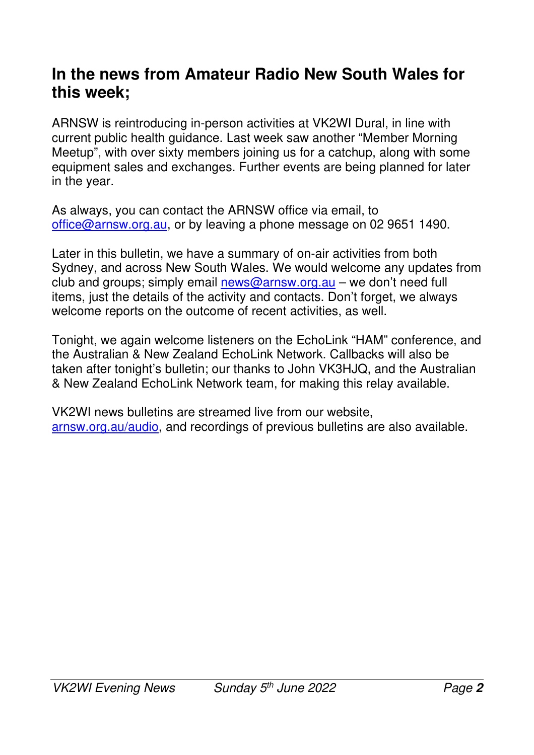#### **In the news from Amateur Radio New South Wales for this week;**

ARNSW is reintroducing in-person activities at VK2WI Dural, in line with current public health guidance. Last week saw another "Member Morning Meetup", with over sixty members joining us for a catchup, along with some equipment sales and exchanges. Further events are being planned for later in the year.

As always, you can contact the ARNSW office via email, to office@arnsw.org.au, or by leaving a phone message on 02 9651 1490.

Later in this bulletin, we have a summary of on-air activities from both Sydney, and across New South Wales. We would welcome any updates from club and groups; simply email news@arnsw.org.au – we don't need full items, just the details of the activity and contacts. Don't forget, we always welcome reports on the outcome of recent activities, as well.

Tonight, we again welcome listeners on the EchoLink "HAM" conference, and the Australian & New Zealand EchoLink Network. Callbacks will also be taken after tonight's bulletin; our thanks to John VK3HJQ, and the Australian & New Zealand EchoLink Network team, for making this relay available.

VK2WI news bulletins are streamed live from our website, arnsw.org.au/audio, and recordings of previous bulletins are also available.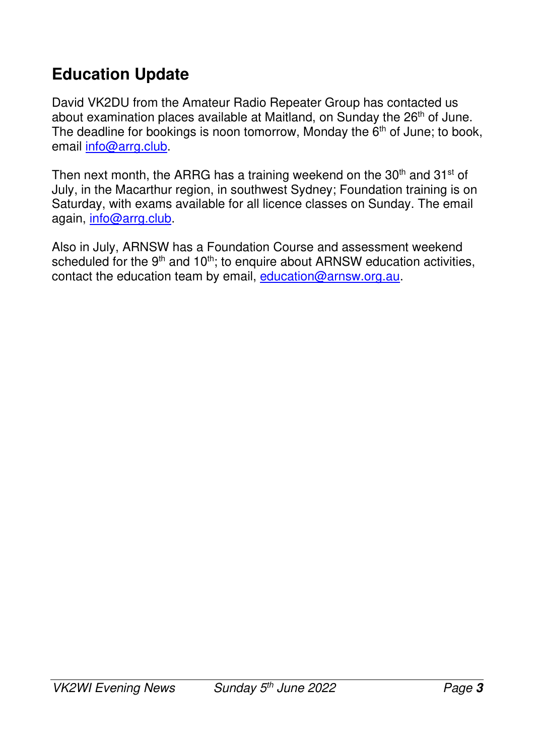# **Education Update**

David VK2DU from the Amateur Radio Repeater Group has contacted us about examination places available at Maitland, on Sunday the 26<sup>th</sup> of June. The deadline for bookings is noon tomorrow, Monday the  $6<sup>th</sup>$  of June; to book, email info@arrg.club.

Then next month, the ARRG has a training weekend on the  $30<sup>th</sup>$  and  $31<sup>st</sup>$  of July, in the Macarthur region, in southwest Sydney; Foundation training is on Saturday, with exams available for all licence classes on Sunday. The email again, info@arrg.club.

Also in July, ARNSW has a Foundation Course and assessment weekend scheduled for the  $9<sup>th</sup>$  and  $10<sup>th</sup>$ ; to enquire about ARNSW education activities, contact the education team by email, education@arnsw.org.au.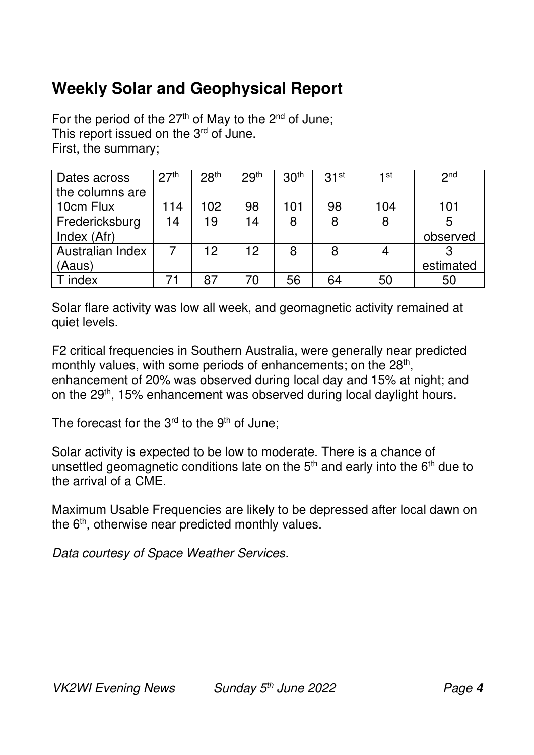# **Weekly Solar and Geophysical Report**

For the period of the  $27<sup>th</sup>$  of May to the  $2<sup>nd</sup>$  of June; This report issued on the 3<sup>rd</sup> of June. First, the summary;

| Dates across     | 27 <sup>th</sup> | 28 <sup>th</sup> | 29 <sup>th</sup> | 30 <sup>th</sup> | 31 <sup>st</sup> | $1$ st | 2 <sub>nd</sub> |
|------------------|------------------|------------------|------------------|------------------|------------------|--------|-----------------|
| the columns are  |                  |                  |                  |                  |                  |        |                 |
| 10cm Flux        | 14 ا             | 102              | 98               | 101              | 98               | 104    | 101             |
| Fredericksburg   | 14               | 19               | 14               | 8                | 8                | 8      |                 |
| Index (Afr)      |                  |                  |                  |                  |                  |        | observed        |
| Australian Index |                  | 12               | 12 <sup>2</sup>  | 8                | 8                |        |                 |
| (Aaus)           |                  |                  |                  |                  |                  |        | estimated       |
| index            |                  |                  | 70               | 56               | 64               | 50     | 50              |

Solar flare activity was low all week, and geomagnetic activity remained at quiet levels.

F2 critical frequencies in Southern Australia, were generally near predicted monthly values, with some periods of enhancements; on the 28<sup>th</sup>, enhancement of 20% was observed during local day and 15% at night; and on the 29<sup>th</sup>, 15% enhancement was observed during local daylight hours.

The forecast for the  $3<sup>rd</sup>$  to the  $9<sup>th</sup>$  of June;

Solar activity is expected to be low to moderate. There is a chance of unsettled geomagnetic conditions late on the  $5<sup>th</sup>$  and early into the  $6<sup>th</sup>$  due to the arrival of a CME.

Maximum Usable Frequencies are likely to be depressed after local dawn on the 6<sup>th</sup>, otherwise near predicted monthly values.

*Data courtesy of Space Weather Services.*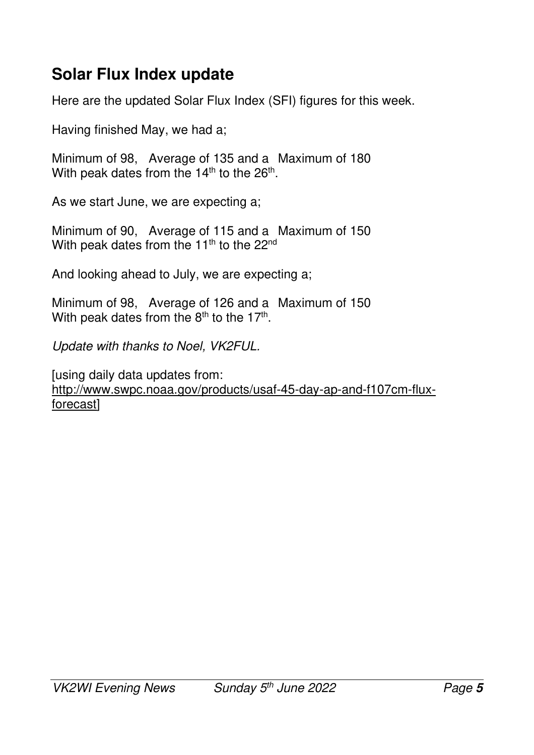#### **Solar Flux Index update**

Here are the updated Solar Flux Index (SFI) figures for this week.

Having finished May, we had a;

Minimum of 98, Average of 135 and a Maximum of 180 With peak dates from the 14<sup>th</sup> to the 26<sup>th</sup>.

As we start June, we are expecting a;

Minimum of 90, Average of 115 and a Maximum of 150 With peak dates from the 11<sup>th</sup> to the 22<sup>nd</sup>

And looking ahead to July, we are expecting a;

Minimum of 98, Average of 126 and a Maximum of 150 With peak dates from the  $8<sup>th</sup>$  to the 17<sup>th</sup>.

*Update with thanks to Noel, VK2FUL.* 

[using daily data updates from: http://www.swpc.noaa.gov/products/usaf-45-day-ap-and-f107cm-fluxforecast]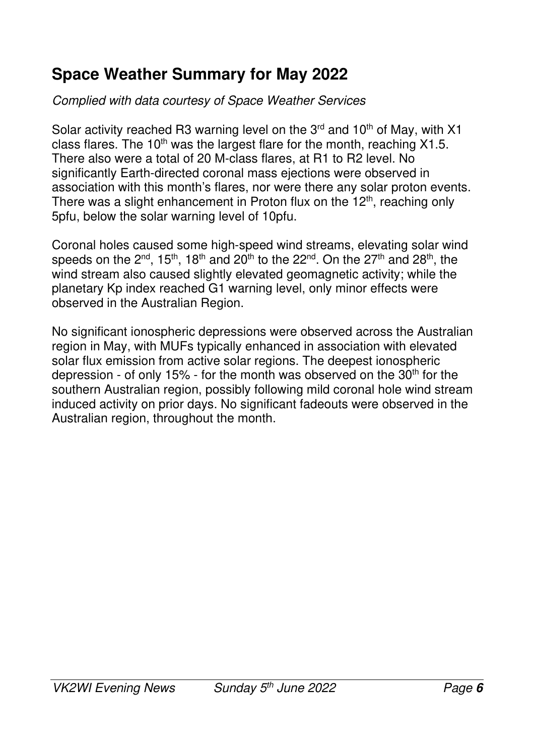## **Space Weather Summary for May 2022**

#### *Complied with data courtesy of Space Weather Services*

Solar activity reached R3 warning level on the  $3<sup>rd</sup>$  and  $10<sup>th</sup>$  of May, with X1 class flares. The 10<sup>th</sup> was the largest flare for the month, reaching  $X1.5$ . There also were a total of 20 M-class flares, at R1 to R2 level. No significantly Earth-directed coronal mass ejections were observed in association with this month's flares, nor were there any solar proton events. There was a slight enhancement in Proton flux on the  $12<sup>th</sup>$ , reaching only 5pfu, below the solar warning level of 10pfu.

Coronal holes caused some high-speed wind streams, elevating solar wind speeds on the  $2^{nd}$ , 15<sup>th</sup>, 18<sup>th</sup> and 20<sup>th</sup> to the 22<sup>nd</sup>. On the 27<sup>th</sup> and 28<sup>th</sup>, the wind stream also caused slightly elevated geomagnetic activity; while the planetary Kp index reached G1 warning level, only minor effects were observed in the Australian Region.

No significant ionospheric depressions were observed across the Australian region in May, with MUFs typically enhanced in association with elevated solar flux emission from active solar regions. The deepest ionospheric depression - of only 15% - for the month was observed on the  $30<sup>th</sup>$  for the southern Australian region, possibly following mild coronal hole wind stream induced activity on prior days. No significant fadeouts were observed in the Australian region, throughout the month.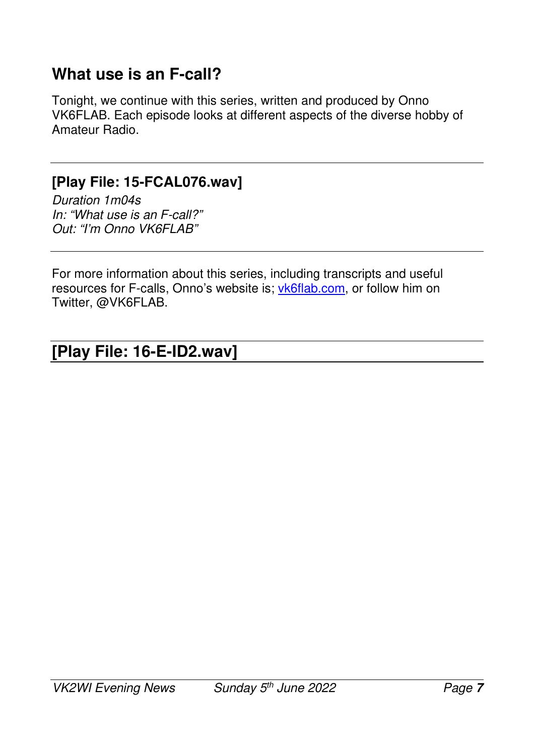#### **What use is an F-call?**

Tonight, we continue with this series, written and produced by Onno VK6FLAB. Each episode looks at different aspects of the diverse hobby of Amateur Radio.

#### **[Play File: 15-FCAL076.wav]**

*Duration 1m04s In: "What use is an F-call?" Out: "I'm Onno VK6FLAB"* 

For more information about this series, including transcripts and useful resources for F-calls, Onno's website is; vk6flab.com, or follow him on Twitter, @VK6FLAB.

#### **[Play File: 16-E-ID2.wav]**   $\overline{\phantom{a}}$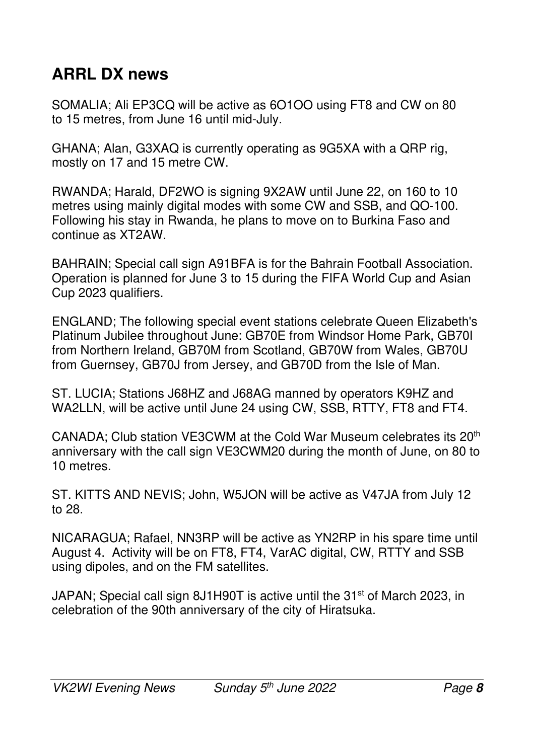# **ARRL DX news**

SOMALIA; Ali EP3CQ will be active as 6O1OO using FT8 and CW on 80 to 15 metres, from June 16 until mid-July.

GHANA; Alan, G3XAQ is currently operating as 9G5XA with a QRP rig, mostly on 17 and 15 metre CW.

RWANDA; Harald, DF2WO is signing 9X2AW until June 22, on 160 to 10 metres using mainly digital modes with some CW and SSB, and QO-100. Following his stay in Rwanda, he plans to move on to Burkina Faso and continue as XT2AW.

BAHRAIN; Special call sign A91BFA is for the Bahrain Football Association. Operation is planned for June 3 to 15 during the FIFA World Cup and Asian Cup 2023 qualifiers.

ENGLAND; The following special event stations celebrate Queen Elizabeth's Platinum Jubilee throughout June: GB70E from Windsor Home Park, GB70I from Northern Ireland, GB70M from Scotland, GB70W from Wales, GB70U from Guernsey, GB70J from Jersey, and GB70D from the Isle of Man.

ST. LUCIA; Stations J68HZ and J68AG manned by operators K9HZ and WA2LLN, will be active until June 24 using CW, SSB, RTTY, FT8 and FT4.

CANADA; Club station VE3CWM at the Cold War Museum celebrates its 20th anniversary with the call sign VE3CWM20 during the month of June, on 80 to 10 metres.

ST. KITTS AND NEVIS; John, W5JON will be active as V47JA from July 12 to 28.

NICARAGUA; Rafael, NN3RP will be active as YN2RP in his spare time until August 4. Activity will be on FT8, FT4, VarAC digital, CW, RTTY and SSB using dipoles, and on the FM satellites.

JAPAN; Special call sign 8J1H90T is active until the 31<sup>st</sup> of March 2023, in celebration of the 90th anniversary of the city of Hiratsuka.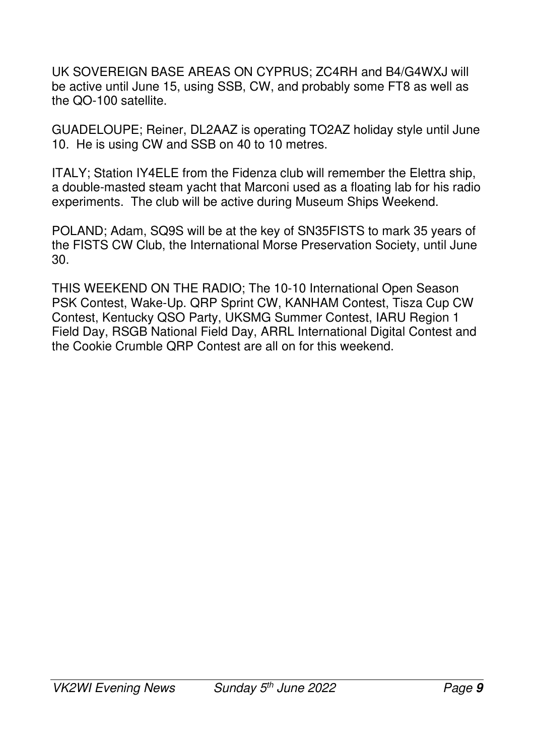UK SOVEREIGN BASE AREAS ON CYPRUS; ZC4RH and B4/G4WXJ will be active until June 15, using SSB, CW, and probably some FT8 as well as the QO-100 satellite.

GUADELOUPE; Reiner, DL2AAZ is operating TO2AZ holiday style until June 10. He is using CW and SSB on 40 to 10 metres.

ITALY; Station IY4ELE from the Fidenza club will remember the Elettra ship, a double-masted steam yacht that Marconi used as a floating lab for his radio experiments. The club will be active during Museum Ships Weekend.

POLAND; Adam, SQ9S will be at the key of SN35FISTS to mark 35 years of the FISTS CW Club, the International Morse Preservation Society, until June 30.

THIS WEEKEND ON THE RADIO; The 10-10 International Open Season PSK Contest, Wake-Up. QRP Sprint CW, KANHAM Contest, Tisza Cup CW Contest, Kentucky QSO Party, UKSMG Summer Contest, IARU Region 1 Field Day, RSGB National Field Day, ARRL International Digital Contest and the Cookie Crumble QRP Contest are all on for this weekend.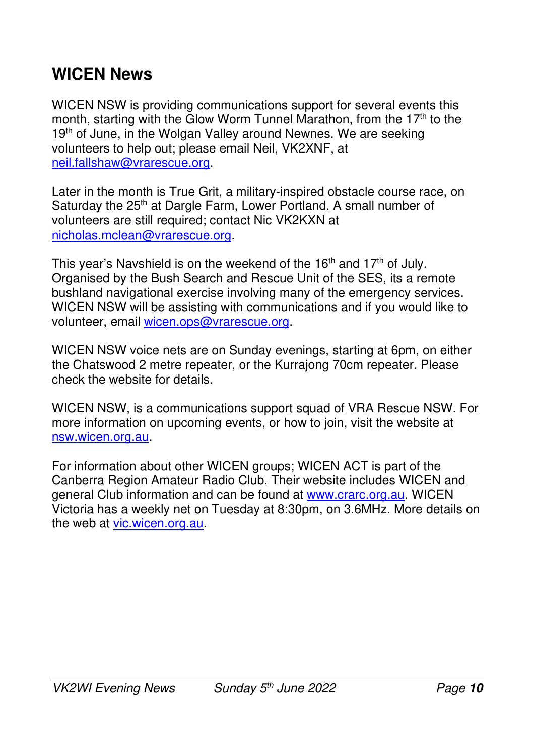#### **WICEN News**

WICEN NSW is providing communications support for several events this month, starting with the Glow Worm Tunnel Marathon, from the  $17<sup>th</sup>$  to the 19<sup>th</sup> of June, in the Wolgan Valley around Newnes. We are seeking volunteers to help out; please email Neil, VK2XNF, at neil.fallshaw@vrarescue.org.

Later in the month is True Grit, a military-inspired obstacle course race, on Saturday the 25<sup>th</sup> at Dargle Farm, Lower Portland. A small number of volunteers are still required; contact Nic VK2KXN at nicholas.mclean@vrarescue.org.

This year's Navshield is on the weekend of the 16<sup>th</sup> and 17<sup>th</sup> of July. Organised by the Bush Search and Rescue Unit of the SES, its a remote bushland navigational exercise involving many of the emergency services. WICEN NSW will be assisting with communications and if you would like to volunteer, email wicen.ops@vrarescue.org.

WICEN NSW voice nets are on Sunday evenings, starting at 6pm, on either the Chatswood 2 metre repeater, or the Kurrajong 70cm repeater. Please check the website for details.

WICEN NSW, is a communications support squad of VRA Rescue NSW. For more information on upcoming events, or how to join, visit the website at nsw.wicen.org.au.

For information about other WICEN groups; WICEN ACT is part of the Canberra Region Amateur Radio Club. Their website includes WICEN and general Club information and can be found at www.crarc.org.au. WICEN Victoria has a weekly net on Tuesday at 8:30pm, on 3.6MHz. More details on the web at vic.wicen.org.au.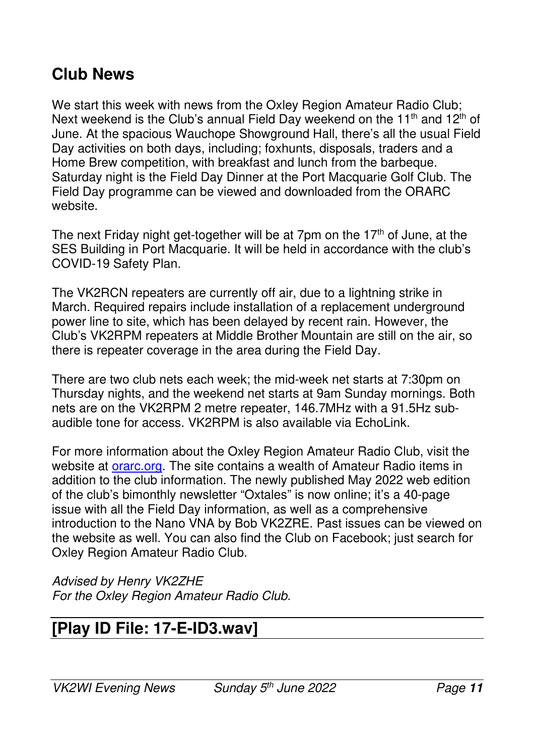#### **Club News**

We start this week with news from the Oxley Region Amateur Radio Club; Next weekend is the Club's annual Field Day weekend on the 11<sup>th</sup> and 12<sup>th</sup> of June. At the spacious Wauchope Showground Hall, there's all the usual Field Day activities on both days, including; foxhunts, disposals, traders and a Home Brew competition, with breakfast and lunch from the barbeque. Saturday night is the Field Day Dinner at the Port Macquarie Golf Club. The Field Day programme can be viewed and downloaded from the ORARC website.

The next Friday night get-together will be at 7pm on the  $17<sup>th</sup>$  of June, at the SES Building in Port Macquarie. It will be held in accordance with the club's COVID-19 Safety Plan.

The VK2RCN repeaters are currently off air, due to a lightning strike in March. Required repairs include installation of a replacement underground power line to site, which has been delayed by recent rain. However, the Club's VK2RPM repeaters at Middle Brother Mountain are still on the air, so there is repeater coverage in the area during the Field Day.

There are two club nets each week; the mid-week net starts at 7:30pm on Thursday nights, and the weekend net starts at 9am Sunday mornings. Both nets are on the VK2RPM 2 metre repeater, 146.7MHz with a 91.5Hz subaudible tone for access. VK2RPM is also available via EchoLink.

For more information about the Oxley Region Amateur Radio Club, visit the website at *orarc.org*. The site contains a wealth of Amateur Radio items in addition to the club information. The newly published May 2022 web edition of the club's bimonthly newsletter "Oxtales" is now online; it's a 40-page issue with all the Field Day information, as well as a comprehensive introduction to the Nano VNA by Bob VK2ZRE. Past issues can be viewed on the website as well. You can also find the Club on Facebook; just search for Oxley Region Amateur Radio Club.

*Advised by Henry VK2ZHE For the Oxley Region Amateur Radio Club.* 

#### **[Play ID File: 17-E-ID3.wav]**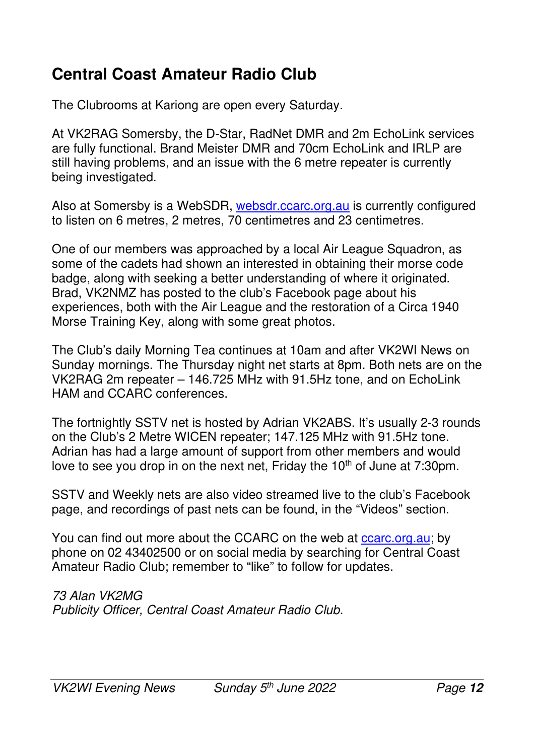## **Central Coast Amateur Radio Club**

The Clubrooms at Kariong are open every Saturday.

At VK2RAG Somersby, the D-Star, RadNet DMR and 2m EchoLink services are fully functional. Brand Meister DMR and 70cm EchoLink and IRLP are still having problems, and an issue with the 6 metre repeater is currently being investigated.

Also at Somersby is a WebSDR, websdr.ccarc.org.au is currently configured to listen on 6 metres, 2 metres, 70 centimetres and 23 centimetres.

One of our members was approached by a local Air League Squadron, as some of the cadets had shown an interested in obtaining their morse code badge, along with seeking a better understanding of where it originated. Brad, VK2NMZ has posted to the club's Facebook page about his experiences, both with the Air League and the restoration of a Circa 1940 Morse Training Key, along with some great photos.

The Club's daily Morning Tea continues at 10am and after VK2WI News on Sunday mornings. The Thursday night net starts at 8pm. Both nets are on the VK2RAG 2m repeater – 146.725 MHz with 91.5Hz tone, and on EchoLink HAM and CCARC conferences.

The fortnightly SSTV net is hosted by Adrian VK2ABS. It's usually 2-3 rounds on the Club's 2 Metre WICEN repeater; 147.125 MHz with 91.5Hz tone. Adrian has had a large amount of support from other members and would love to see you drop in on the next net. Friday the  $10<sup>th</sup>$  of June at 7:30pm.

SSTV and Weekly nets are also video streamed live to the club's Facebook page, and recordings of past nets can be found, in the "Videos" section.

You can find out more about the CCARC on the web at ccarc.org.au; by phone on 02 43402500 or on social media by searching for Central Coast Amateur Radio Club; remember to "like" to follow for updates.

*73 Alan VK2MG Publicity Officer, Central Coast Amateur Radio Club.*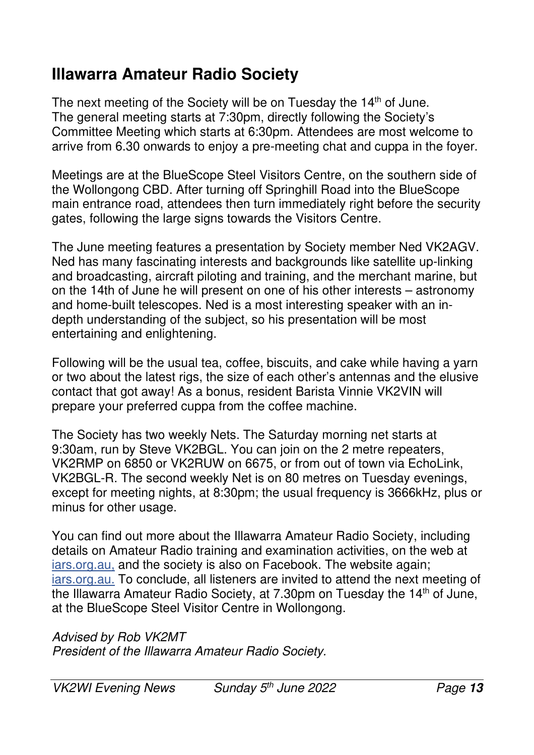#### **Illawarra Amateur Radio Society**

The next meeting of the Society will be on Tuesday the 14<sup>th</sup> of June. The general meeting starts at 7:30pm, directly following the Society's Committee Meeting which starts at 6:30pm. Attendees are most welcome to arrive from 6.30 onwards to enjoy a pre-meeting chat and cuppa in the foyer.

Meetings are at the BlueScope Steel Visitors Centre, on the southern side of the Wollongong CBD. After turning off Springhill Road into the BlueScope main entrance road, attendees then turn immediately right before the security gates, following the large signs towards the Visitors Centre.

The June meeting features a presentation by Society member Ned VK2AGV. Ned has many fascinating interests and backgrounds like satellite up-linking and broadcasting, aircraft piloting and training, and the merchant marine, but on the 14th of June he will present on one of his other interests – astronomy and home-built telescopes. Ned is a most interesting speaker with an indepth understanding of the subject, so his presentation will be most entertaining and enlightening.

Following will be the usual tea, coffee, biscuits, and cake while having a yarn or two about the latest rigs, the size of each other's antennas and the elusive contact that got away! As a bonus, resident Barista Vinnie VK2VIN will prepare your preferred cuppa from the coffee machine.

The Society has two weekly Nets. The Saturday morning net starts at 9:30am, run by Steve VK2BGL. You can join on the 2 metre repeaters, VK2RMP on 6850 or VK2RUW on 6675, or from out of town via EchoLink, VK2BGL-R. The second weekly Net is on 80 metres on Tuesday evenings, except for meeting nights, at 8:30pm; the usual frequency is 3666kHz, plus or minus for other usage.

You can find out more about the Illawarra Amateur Radio Society, including details on Amateur Radio training and examination activities, on the web at iars.org.au, and the society is also on Facebook. The website again; iars.org.au. To conclude, all listeners are invited to attend the next meeting of the Illawarra Amateur Radio Society, at 7.30pm on Tuesday the 14<sup>th</sup> of June, at the BlueScope Steel Visitor Centre in Wollongong.

*Advised by Rob VK2MT President of the Illawarra Amateur Radio Society.*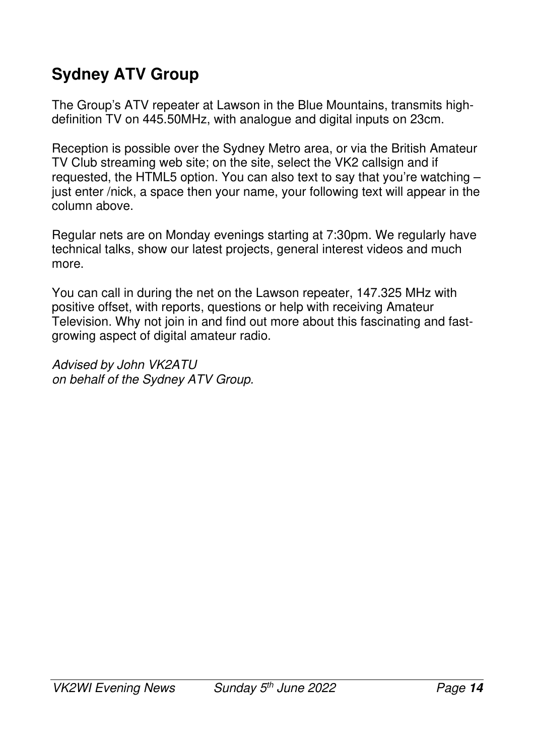# **Sydney ATV Group**

The Group's ATV repeater at Lawson in the Blue Mountains, transmits highdefinition TV on 445.50MHz, with analogue and digital inputs on 23cm.

Reception is possible over the Sydney Metro area, or via the British Amateur TV Club streaming web site; on the site, select the VK2 callsign and if requested, the HTML5 option. You can also text to say that you're watching – just enter /nick, a space then your name, your following text will appear in the column above.

Regular nets are on Monday evenings starting at 7:30pm. We regularly have technical talks, show our latest projects, general interest videos and much more.

You can call in during the net on the Lawson repeater, 147.325 MHz with positive offset, with reports, questions or help with receiving Amateur Television. Why not join in and find out more about this fascinating and fastgrowing aspect of digital amateur radio.

*Advised by John VK2ATU on behalf of the Sydney ATV Group.*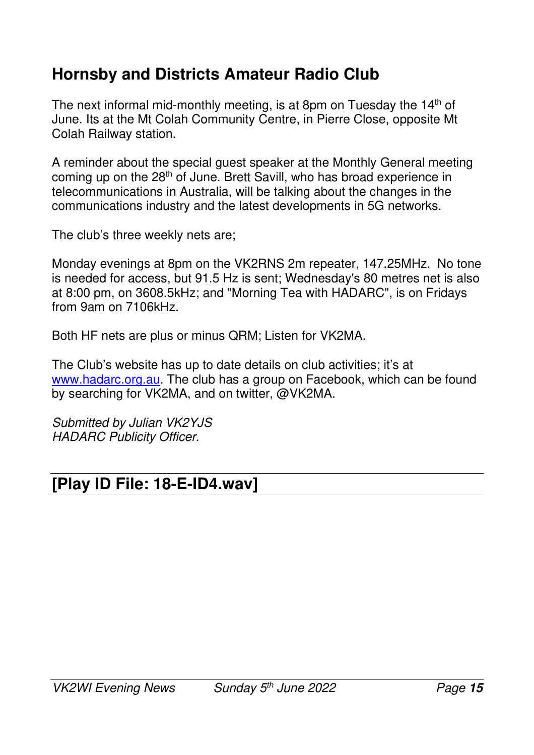## **Hornsby and Districts Amateur Radio Club**

The next informal mid-monthly meeting, is at 8pm on Tuesday the 14<sup>th</sup> of June. Its at the Mt Colah Community Centre, in Pierre Close, opposite Mt Colah Railway station.

A reminder about the special guest speaker at the Monthly General meeting coming up on the 28<sup>th</sup> of June. Brett Savill, who has broad experience in telecommunications in Australia, will be talking about the changes in the communications industry and the latest developments in 5G networks.

The club's three weekly nets are;

Monday evenings at 8pm on the VK2RNS 2m repeater, 147.25MHz. No tone is needed for access, but 91.5 Hz is sent; Wednesday's 80 metres net is also at 8:00 pm, on 3608.5kHz; and "Morning Tea with HADARC", is on Fridays from 9am on 7106kHz.

Both HF nets are plus or minus QRM; Listen for VK2MA.

The Club's website has up to date details on club activities; it's at www.hadarc.org.au. The club has a group on Facebook, which can be found by searching for VK2MA, and on twitter, @VK2MA.

*Submitted by Julian VK2YJS HADARC Publicity Officer.* 

## **[Play ID File: 18-E-ID4.wav]**